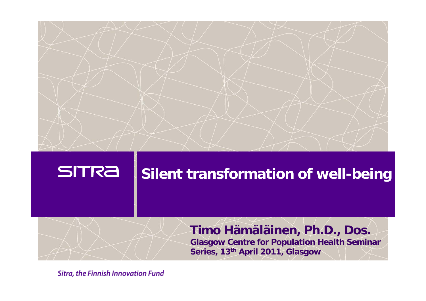

#### **SITRA**

### **Silent transformation of well-being**

# **Timo Hämäläinen, Ph.D., Dos.**

**Glasgow Centre for Population Health Seminar Series, 13th April 2011, Glasgow**

**Sitra, the Finnish Innovation Fund**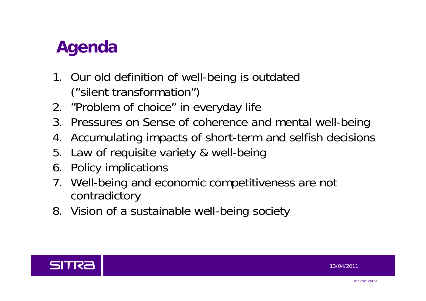# **Agenda**

- 1. Our old definition of well-being is outdated ("silent transformation")
- 2. "Problem of choice" in everyday life
- 3. Pressures on Sense of coherence and mental well-being
- 4. Accumulating impacts of short-term and selfish decisions
- 5. Law of requisite variety & well-being
- 6. Policy implications
- 7. Well-being and economic competitiveness are not contradictory
- 8. Vision of a sustainable well-being society

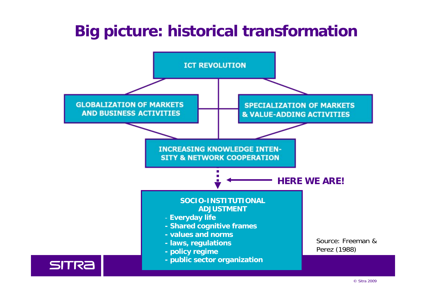# **Big picture: historical transformation**

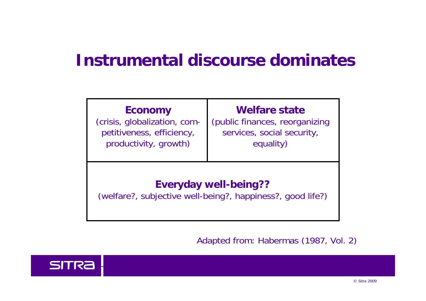# **Instrumental discourse dominates**

| <b>Economy</b>                                                                             | <b>Welfare state</b>           |  |  |
|--------------------------------------------------------------------------------------------|--------------------------------|--|--|
| (crisis, globalization, com-                                                               | (public finances, reorganizing |  |  |
| petitiveness, efficiency,                                                                  | services, social security,     |  |  |
| productivity, growth)                                                                      | equality)                      |  |  |
| <b>Everyday well-being??</b><br>(welfare?, subjective well-being?, happiness?, good life?) |                                |  |  |

Adapted from: Habermas (1987, Vol. 2)

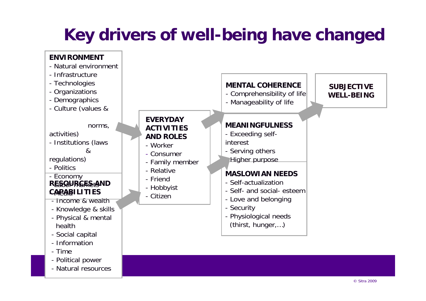# **Key drivers of well-being have changed**

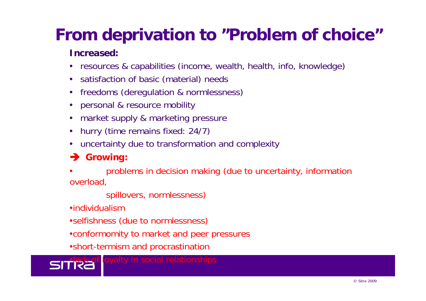# **From deprivation to "Problem of choice"**

#### **Increased:**

- resources & capabilities (income, wealth, health, info, knowledge)
- satisfaction of basic (material) needs
- freedoms (deregulation & normlessness)
- personal & resource mobility
- market supply & marketing pressure
- hurry (time remains fixed: 24/7)
- uncertainty due to transformation and complexity

#### **Growing:**

 • problems in decision making (due to uncertainty, information overload,

spillovers, normlessness)

•individualism

- •selfishness (due to normlessness)
- •conformomity to market and peer pressures
- •short-termism and procrastination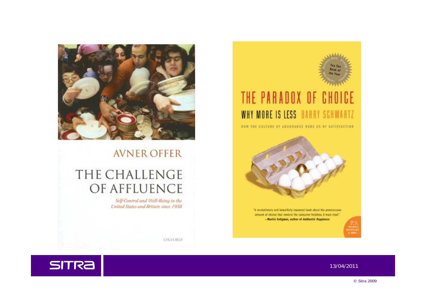

#### **AVNER OFFER**

#### THE CHALLENGE OF AFFLUENCE

Self-Control and Well-Being in the United States and Britain since 1950



#### THE PARADOX OF CHOICE WHY MORE IS LESS BARRY SCHWARTZ

**HOW THE CULTURE OF ABUNDANCE ROBS US OF SATISFACTION** 



amount of choice that renders the consumer helpless. A must read." -Martin Seligman, author of Anthentic Happiness

**OXFORD** 

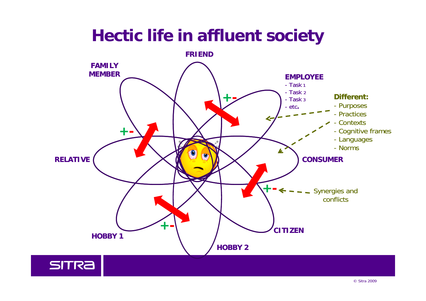# **Hectic life in affluent society**

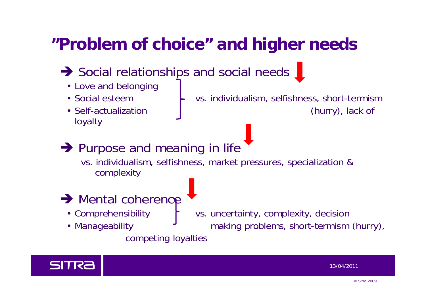# **"Problem of choice" and higher needs**

- Social relationships and social needs
	- Love and belonging
	-
	- loyalty
	- Social esteem  $\begin{array}{ccc} \leftarrow & \text{vs. individualism, selfishness, short-terminm} \end{array}$ • Self-actualization (hurry), lack of
- **→ Purpose and meaning in life**

vs. individualism, selfishness, market pressures, specialization & complexity

- $\rightarrow$  Mental coherence
	-
	-

• Comprehensibility  $\begin{bmatrix} \cdot & \cdot & \cdot \\ \cdot & \cdot & \cdot \\ \cdot & \cdot & \cdot \end{bmatrix}$  vs. uncertainty, complexity, decision • Manageability **Fig. 3** making problems, short-termism (hurry),

#### competing loyalties

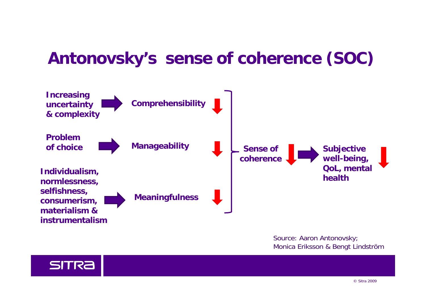# **Antonovsky's sense of coherence (SOC)**



Source: Aaron Antonovsky; Monica Eriksson & Bengt Lindström

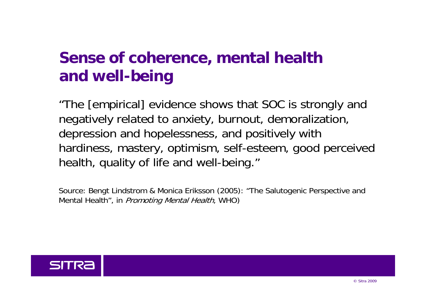# **Sense of coherence, mental health and well-being**

"The [empirical] evidence shows that SOC is strongly and negatively related to anxiety, burnout, demoralization, depression and hopelessness, and positively with hardiness, mastery, optimism, self-esteem, good perceived health, quality of life and well-being."

Source: Bengt Lindstrom & Monica Eriksson (2005): "The Salutogenic Perspective and Mental Health", in *Promoting Mental Health*, WHO)

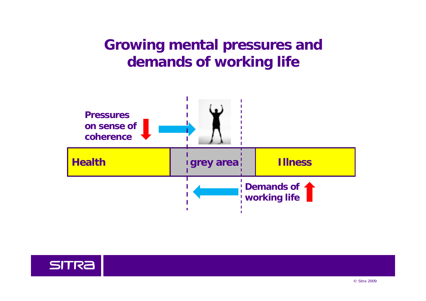### **Growing mental pressures and demands of working life**



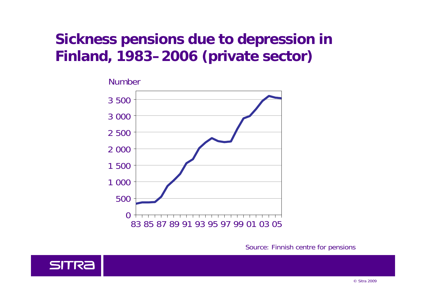### **Sickness pensions due to depression in Finland, 1983–2006 (private sector)**



Source: Finnish centre for pensions

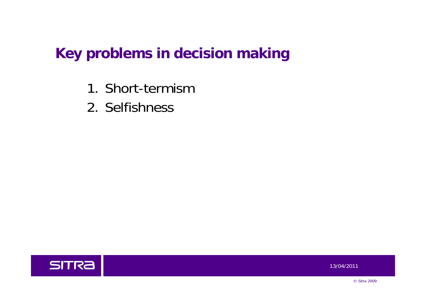### **Key problems in decision making**

- 1. Short-termism
- 2. Selfishness

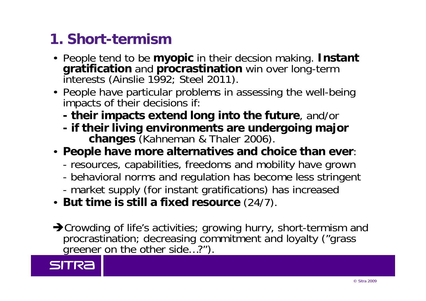## **1. Short-termism**

- People tend to be **myopic** in their decsion making. **Instant gratification** and **procrastination** win over long-term interests (Ainslie 1992; Steel 2011).
- People have particular problems in assessing the well-being impacts of their decisions if:
	- **their impacts extend long into the future**, and/or
	- **if their living environments are undergoing major changes** (Kahneman & Thaler 2006).
- **People have more alternatives and choice than ever**:
	- resources, capabilities, freedoms and mobility have grown
	- behavioral norms and regulation has become less stringent
	- market supply (for instant gratifications) has increased
- **But time is still a fixed resource** (24/7).
- ◆Crowding of life's activities; growing hurry, short-termism and procrastination; decreasing commitment and loyalty ("grass greener on the other side...?").

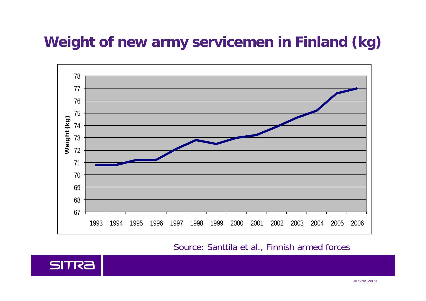## **Weight of new army servicemen in Finland (kg)**



Source: Santtila et al., Finnish armed forces

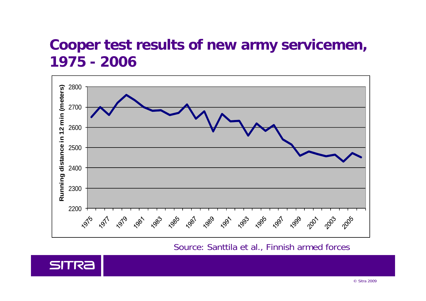#### **Cooper test results of new army servicemen, 1975 - 2006**



Source: Santtila et al., Finnish armed forces

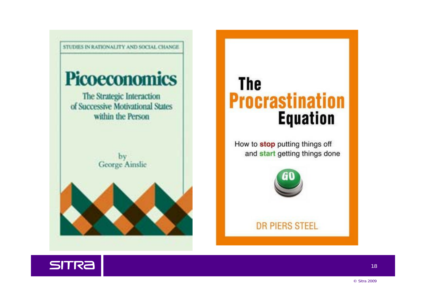

# **The Procrastination Equation**

How to stop putting things off and start getting things done



**DR PIERS STEEL** 

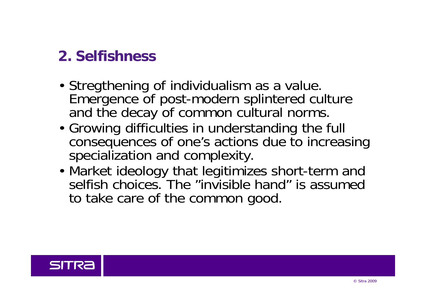### **2. Selfishness**

- Stregthening of individualism as a value. Emergence of post-modern splintered culture and the decay of common cultural norms.
- Growing difficulties in understanding the full consequences of one's actions due to increasing specialization and complexity.
- Market ideology that legitimizes short-term and selfish choices. The "invisible hand" is assumed to take care of the common good.

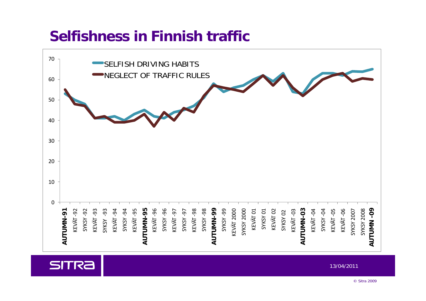### **Selfishness in Finnish traffic**



**SITRA**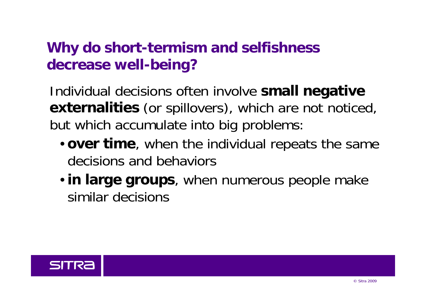## **Why do short-termism and selfishness decrease well-being?**

Individual decisions often involve **small negative externalities** (or spillovers), which are not noticed, but which accumulate into big problems:

- **over time**, when the individual repeats the same decisions and behaviors
- **in large groups**, when numerous people make similar decisions

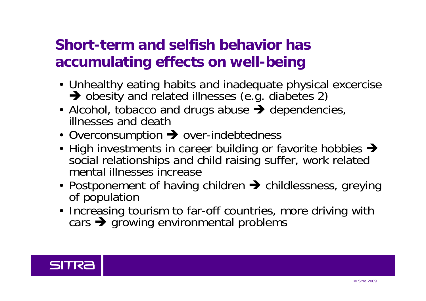## **Short-term and selfish behavior has accumulating effects on well-being**

- Unhealthy eating habits and inadequate physical excercise  $\rightarrow$  obesity and related illnesses (e.g. diabetes 2)
- Alcohol, tobacco and drugs abuse  $\rightarrow$  dependencies, illnesses and death
- Overconsumption  $\rightarrow$  over-indebtedness
- High investments in career building or favorite hobbies  $\rightarrow$ social relationships and child raising suffer, work related mental illnesses increase
- Postponement of having children  $\rightarrow$  childlessness, greying of population
- Increasing tourism to far-off countries, more driving with cars  $\rightarrow$  growing environmental problems

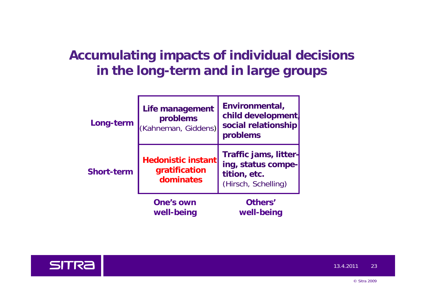#### **Accumulating impacts of individual decisions in the long-term and in large groups**

| Long-term         | Life management<br>problems<br>(Kahneman, Giddens)       | Environmental,<br>child development<br>social relationship<br>problems             |
|-------------------|----------------------------------------------------------|------------------------------------------------------------------------------------|
| <b>Short-term</b> | <b>Hedonistic instantl</b><br>gratification<br>dominates | Traffic jams, litter-<br>ing, status compe-<br>tition, etc.<br>(Hirsch, Schelling) |
|                   | <b>One's own</b><br>well-being                           | Others'<br>well-being                                                              |



13.4.201123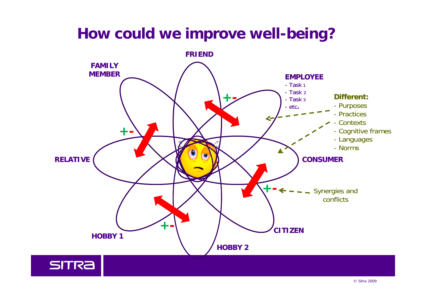# **How could we improve well-being?**

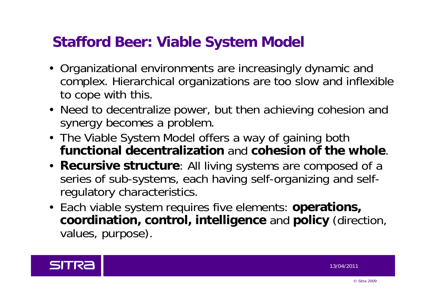## **Stafford Beer: Viable System Model**

- Organizational environments are increasingly dynamic and complex. Hierarchical organizations are too slow and inflexible to cope with this.
- Need to decentralize power, but then achieving cohesion and synergy becomes a problem.
- The Viable System Model offers a way of gaining both **functional decentralization** and **cohesion of the whole**.
- **Recursive structure**: All living systems are composed of a series of sub-systems, each having self-organizing and selfregulatory characteristics.
- Each viable system requires five elements: **operations, coordination, control, intelligence** and **policy** (direction, values, purpose).

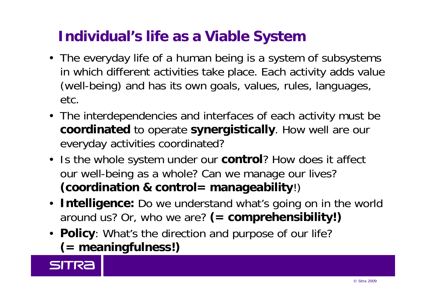## **Individual's life as a Viable System**

- The everyday life of a human being is a system of subsystems in which different activities take place. Each activity adds value (well-being) and has its own goals, values, rules, languages, etc.
- The interdependencies and interfaces of each activity must be **coordinated** to operate **synergistically**. How well are our everyday activities coordinated?
- Is the whole system under our **control**? How does it affect our well-bein g as a whole? Can we mana ge our lives? **(coordination & control= manageability**!)
- **Intelligence:** Do we understand what's going on in the world around us? Or, who we are? **(= comprehensibility!)**
- **Policy**: What's the direction and purpose of our life? **(= meaningfulness!)**

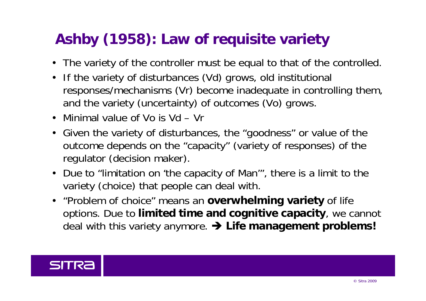# **Ashby (1958): Law of requisite variety**

- The variety of the controller must be equal to that of the controlled.
- If the variety of disturbances (Vd) grows, old institutional responses/mechanisms (Vr) become inadequate in controlling them, and the variety (uncertainty) of outcomes (Vo) grows.
- Minimal value of Vo is Vd Vr
- Given the variety of disturbances, the "goodness" or value of the outcome depends on the "capacity" (variety of responses) of the regulator (decision maker).
- Due to "limitation on 'the capacity of Man'", there is a limit to the variety (choice) that people can deal with.
- "Problem of choice" means an **overwhelming variety** of life options. Due to **limited time and cognitive capacity**, we cannot deal with this variety anymore. **Life management problems!**

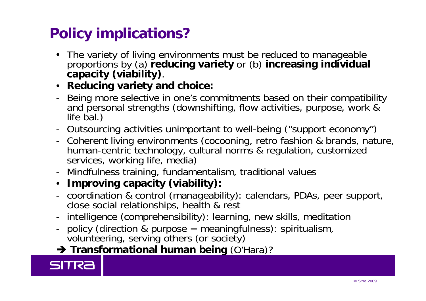# **Policy implications?**

- The variety of living environments must be reduced to manageable proportions by (a) **reducing variety** or (b) **increasing individual capacity (viability)**.
- **Reducing variety and choice:**
- Being more selective in one's commitments based on their compatibility and personal strengths (downshifting, flow activities, purpose, work & life bal.)
- Outsourcing activities unimportant to well-being ("support economy")
- Coherent living environments (cocooning, retro fashion & brands, nature, human-centric technology, cultural norms & regulation, customized services, working life, media)
- Mindfulness training, fundamentalism, traditional values
- **Improving capacity (viability):**
- coordination & control (manageability): calendars, PDAs, peer support, close social relationships, health & rest
- intelligence (comprehensibility): learning, new skills, meditation
- policy (direction & purpose = meaningfulness): spiritualism,<br>volunteering, serving others (or society)
- **Transformational human being** (O'Hara)?

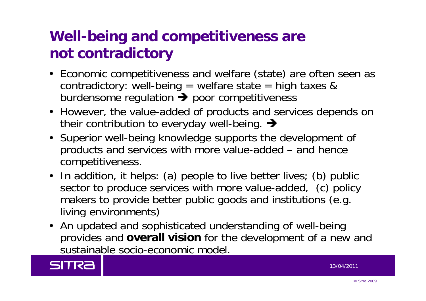# **Well-being and competitiveness are not contradictory**

- Economic competitiveness and welfare (state) are often seen as contradictory: well-being = welfare state = high taxes & burdensome regulation  $\rightarrow$  poor competitiveness
- However, the value-added of products and services depends on their contribution to everyday well-being.  $\rightarrow$
- Superior well-being knowledge supports the development of products and services with more value-added – and hence competitiveness.
- In addition, it helps: (a) people to live better lives; (b) public sector to produce services with more value-added, (c) policy makers to provide better public goods and institutions (e.g. living environments)
- An updated and sophisticated understanding of well-being provides and **overall vision** for the development of a new and sustainable socio-economic model.